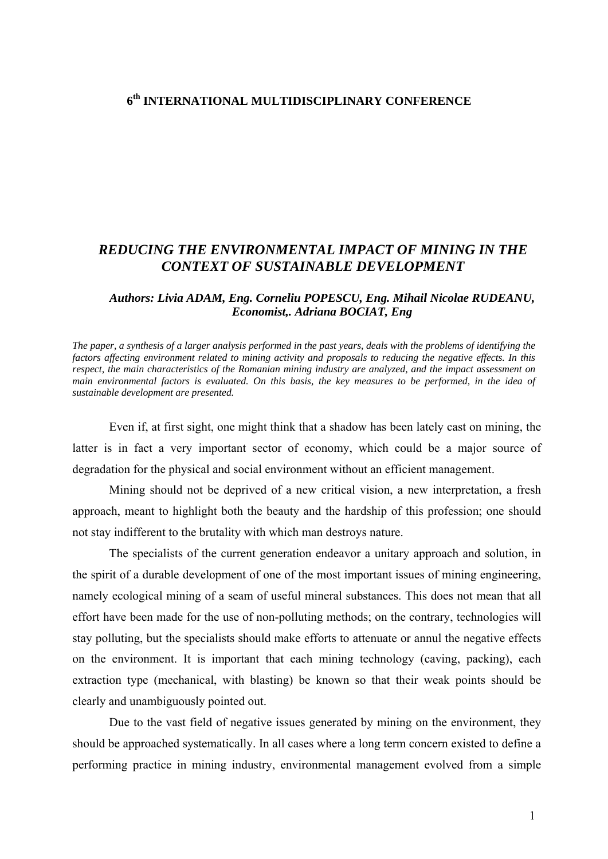## **6th INTERNATIONAL MULTIDISCIPLINARY CONFERENCE**

## *REDUCING THE ENVIRONMENTAL IMPACT OF MINING IN THE CONTEXT OF SUSTAINABLE DEVELOPMENT*

## *Authors: Livia ADAM, Eng. Corneliu POPESCU, Eng. Mihail Nicolae RUDEANU, Economist,. Adriana BOCIAT, Eng*

*The paper, a synthesis of a larger analysis performed in the past years, deals with the problems of identifying the factors affecting environment related to mining activity and proposals to reducing the negative effects. In this respect, the main characteristics of the Romanian mining industry are analyzed, and the impact assessment on main environmental factors is evaluated. On this basis, the key measures to be performed, in the idea of sustainable development are presented.* 

Even if, at first sight, one might think that a shadow has been lately cast on mining, the latter is in fact a very important sector of economy, which could be a major source of degradation for the physical and social environment without an efficient management.

Mining should not be deprived of a new critical vision, a new interpretation, a fresh approach, meant to highlight both the beauty and the hardship of this profession; one should not stay indifferent to the brutality with which man destroys nature.

The specialists of the current generation endeavor a unitary approach and solution, in the spirit of a durable development of one of the most important issues of mining engineering, namely ecological mining of a seam of useful mineral substances. This does not mean that all effort have been made for the use of non-polluting methods; on the contrary, technologies will stay polluting, but the specialists should make efforts to attenuate or annul the negative effects on the environment. It is important that each mining technology (caving, packing), each extraction type (mechanical, with blasting) be known so that their weak points should be clearly and unambiguously pointed out.

Due to the vast field of negative issues generated by mining on the environment, they should be approached systematically. In all cases where a long term concern existed to define a performing practice in mining industry, environmental management evolved from a simple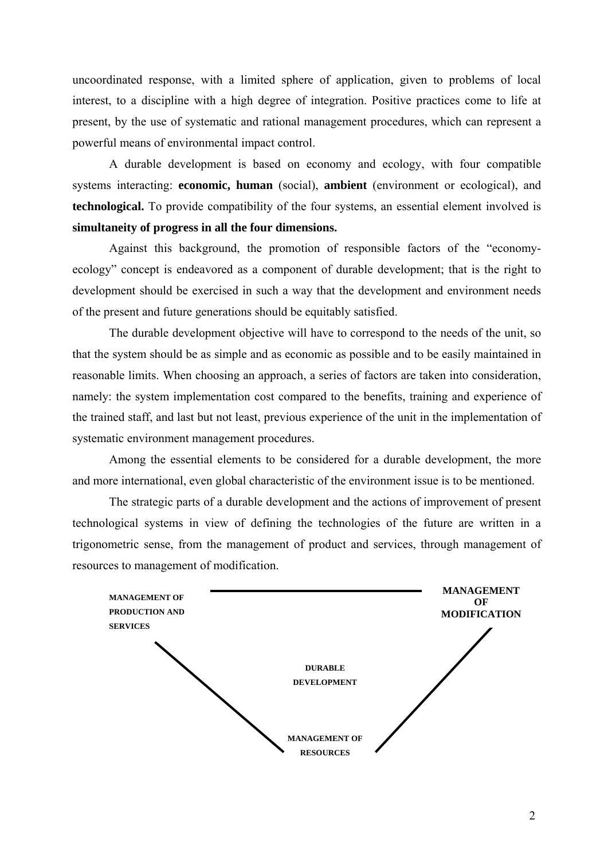uncoordinated response, with a limited sphere of application, given to problems of local interest, to a discipline with a high degree of integration. Positive practices come to life at present, by the use of systematic and rational management procedures, which can represent a powerful means of environmental impact control.

A durable development is based on economy and ecology, with four compatible systems interacting: **economic, human** (social), **ambient** (environment or ecological), and **technological.** To provide compatibility of the four systems, an essential element involved is **simultaneity of progress in all the four dimensions.** 

Against this background, the promotion of responsible factors of the "economyecology" concept is endeavored as a component of durable development; that is the right to development should be exercised in such a way that the development and environment needs of the present and future generations should be equitably satisfied.

The durable development objective will have to correspond to the needs of the unit, so that the system should be as simple and as economic as possible and to be easily maintained in reasonable limits. When choosing an approach, a series of factors are taken into consideration, namely: the system implementation cost compared to the benefits, training and experience of the trained staff, and last but not least, previous experience of the unit in the implementation of systematic environment management procedures.

Among the essential elements to be considered for a durable development, the more and more international, even global characteristic of the environment issue is to be mentioned.

The strategic parts of a durable development and the actions of improvement of present technological systems in view of defining the technologies of the future are written in a trigonometric sense, from the management of product and services, through management of resources to management of modification.

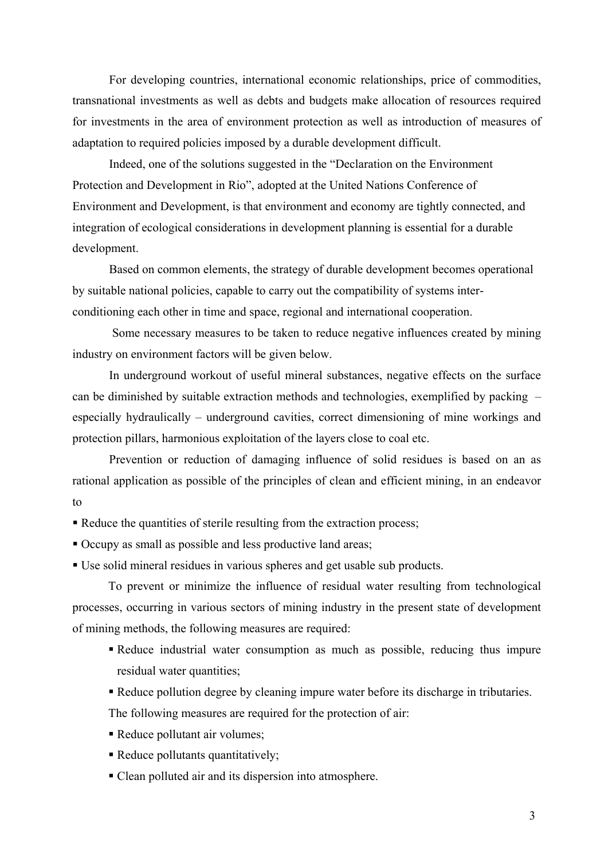For developing countries, international economic relationships, price of commodities, transnational investments as well as debts and budgets make allocation of resources required for investments in the area of environment protection as well as introduction of measures of adaptation to required policies imposed by a durable development difficult.

 Indeed, one of the solutions suggested in the "Declaration on the Environment Protection and Development in Rio", adopted at the United Nations Conference of Environment and Development, is that environment and economy are tightly connected, and integration of ecological considerations in development planning is essential for a durable development.

 Based on common elements, the strategy of durable development becomes operational by suitable national policies, capable to carry out the compatibility of systems interconditioning each other in time and space, regional and international cooperation.

 Some necessary measures to be taken to reduce negative influences created by mining industry on environment factors will be given below.

 In underground workout of useful mineral substances, negative effects on the surface can be diminished by suitable extraction methods and technologies, exemplified by packing – especially hydraulically – underground cavities, correct dimensioning of mine workings and protection pillars, harmonious exploitation of the layers close to coal etc.

 Prevention or reduction of damaging influence of solid residues is based on an as rational application as possible of the principles of clean and efficient mining, in an endeavor to

Reduce the quantities of sterile resulting from the extraction process;

Occupy as small as possible and less productive land areas;

Use solid mineral residues in various spheres and get usable sub products.

To prevent or minimize the influence of residual water resulting from technological processes, occurring in various sectors of mining industry in the present state of development of mining methods, the following measures are required:

- Reduce industrial water consumption as much as possible, reducing thus impure residual water quantities;
- Reduce pollution degree by cleaning impure water before its discharge in tributaries.

The following measures are required for the protection of air:

- Reduce pollutant air volumes;
- Reduce pollutants quantitatively;
- Clean polluted air and its dispersion into atmosphere.